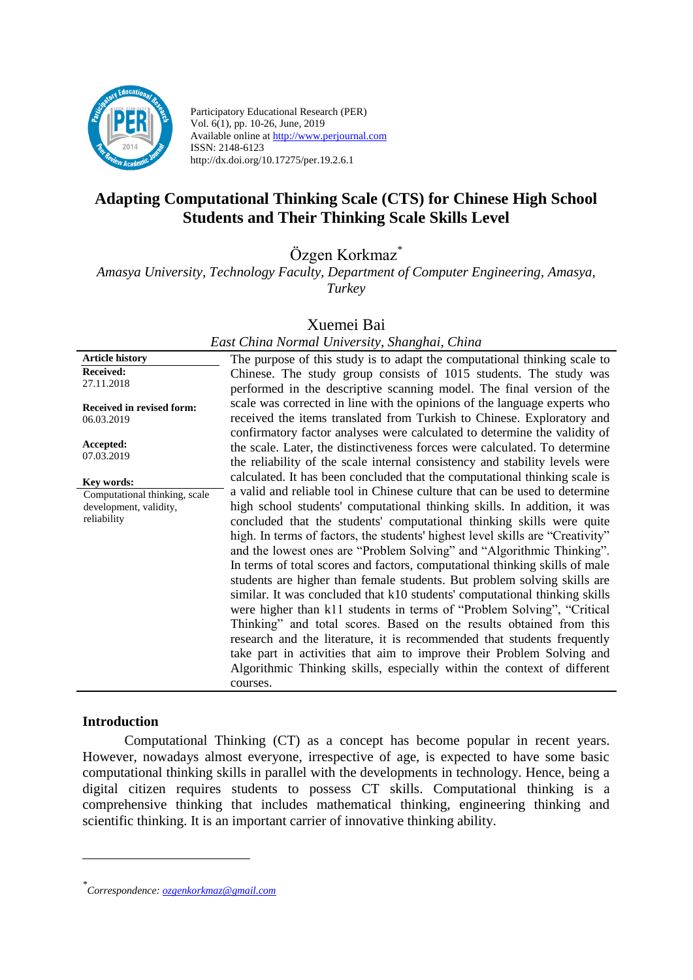

Participatory Educational Research (PER) Vol. 6(1), pp. 10-26, June, 2019 Available online at http://www.perjournal.com ISSN: 2148-6123 http://dx.doi.org/10.17275/per.19.2.6.1

# **Adapting Computational Thinking Scale (CTS) for Chinese High School Students and Their Thinking Scale Skills Level**

Özgen Korkmaz\*

*Amasya University, Technology Faculty, Department of Computer Engineering, Amasya, Turkey*

### Xuemei Bai

#### **Article history Received:**  27.11.2018 **Received in revised form:**  06.03.2019 **Accepted:** 07.03.2019 The purpose of this study is to adapt the computational thinking scale to Chinese. The study group consists of 1015 students. The study was performed in the descriptive scanning model. The final version of the scale was corrected in line with the opinions of the language experts who received the items translated from Turkish to Chinese. Exploratory and confirmatory factor analyses were calculated to determine the validity of the scale. Later, the distinctiveness forces were calculated. To determine the reliability of the scale internal consistency and stability levels were calculated. It has been concluded that the computational thinking scale is a valid and reliable tool in Chinese culture that can be used to determine high school students' computational thinking skills. In addition, it was concluded that the students' computational thinking skills were quite high. In terms of factors, the students' highest level skills are "Creativity" and the lowest ones are "Problem Solving" and "Algorithmic Thinking". In terms of total scores and factors, computational thinking skills of male students are higher than female students. But problem solving skills are similar. It was concluded that k10 students' computational thinking skills were higher than k11 students in terms of "Problem Solving", "Critical Thinking" and total scores. Based on the results obtained from this research and the literature, it is recommended that students frequently take part in activities that aim to improve their Problem Solving and Algorithmic Thinking skills, especially within the context of different **Key words:** Computational thinking, scale development, validity, reliability

# *East China Normal University, Shanghai, China*

### **Introduction**

<u>.</u>

Computational Thinking (CT) as a concept has become popular in recent years. However, nowadays almost everyone, irrespective of age, is expected to have some basic computational thinking skills in parallel with the developments in technology. Hence, being a digital citizen requires students to possess CT skills. Computational thinking is a comprehensive thinking that includes mathematical thinking, engineering thinking and scientific thinking. It is an important carrier of innovative thinking ability.

courses.

*<sup>\*</sup> Correspondence: [ozgenkorkmaz@gmail.com](mailto:ozgenkorkmaz@gmail.com)*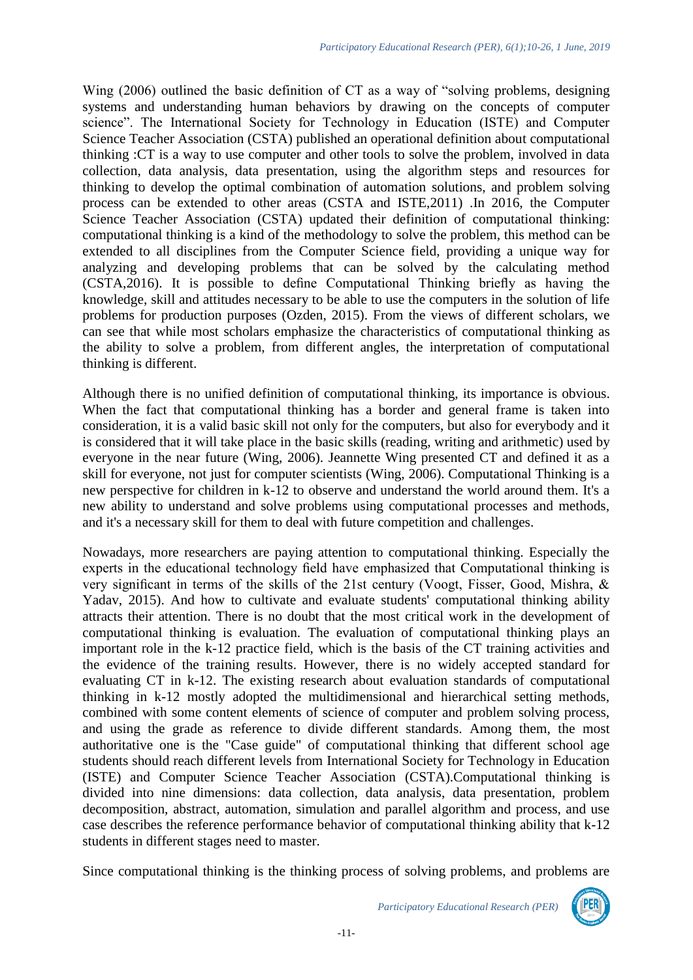Wing (2006) outlined the basic definition of CT as a way of "solving problems, designing systems and understanding human behaviors by drawing on the concepts of computer science". The International Society for Technology in Education (ISTE) and Computer Science Teacher Association (CSTA) published an operational definition about computational thinking :CT is a way to use computer and other tools to solve the problem, involved in data collection, data analysis, data presentation, using the algorithm steps and resources for thinking to develop the optimal combination of automation solutions, and problem solving process can be extended to other areas (CSTA and ISTE,2011) .In 2016, the Computer Science Teacher Association (CSTA) updated their definition of computational thinking: computational thinking is a kind of the methodology to solve the problem, this method can be extended to all disciplines from the Computer Science field, providing a unique way for analyzing and developing problems that can be solved by the calculating method (CSTA,2016). It is possible to define Computational Thinking briefly as having the knowledge, skill and attitudes necessary to be able to use the computers in the solution of life problems for production purposes (Ozden, 2015). From the views of different scholars, we can see that while most scholars emphasize the characteristics of computational thinking as the ability to solve a problem, from different angles, the interpretation of computational thinking is different.

Although there is no unified definition of computational thinking, its importance is obvious. When the fact that computational thinking has a border and general frame is taken into consideration, it is a valid basic skill not only for the computers, but also for everybody and it is considered that it will take place in the basic skills (reading, writing and arithmetic) used by everyone in the near future (Wing, 2006). Jeannette Wing presented CT and defined it as a skill for everyone, not just for computer scientists (Wing, 2006). Computational Thinking is a new perspective for children in k-12 to observe and understand the world around them. It's a new ability to understand and solve problems using computational processes and methods, and it's a necessary skill for them to deal with future competition and challenges.

Nowadays, more researchers are paying attention to computational thinking. Especially the experts in the educational technology field have emphasized that Computational thinking is very significant in terms of the skills of the 21st century (Voogt, Fisser, Good, Mishra, & Yadav, 2015). And how to cultivate and evaluate students' computational thinking ability attracts their attention. There is no doubt that the most critical work in the development of computational thinking is evaluation. The evaluation of computational thinking plays an important role in the k-12 practice field, which is the basis of the CT training activities and the evidence of the training results. However, there is no widely accepted standard for evaluating CT in k-12. The existing research about evaluation standards of computational thinking in k-12 mostly adopted the multidimensional and hierarchical setting methods, combined with some content elements of science of computer and problem solving process, and using the grade as reference to divide different standards. Among them, the most authoritative one is the "Case guide" of computational thinking that different school age students should reach different levels from International Society for Technology in Education (ISTE) and Computer Science Teacher Association (CSTA).Computational thinking is divided into nine dimensions: data collection, data analysis, data presentation, problem decomposition, abstract, automation, simulation and parallel algorithm and process, and use case describes the reference performance behavior of computational thinking ability that k-12 students in different stages need to master.

Since computational thinking is the thinking process of solving problems, and problems are



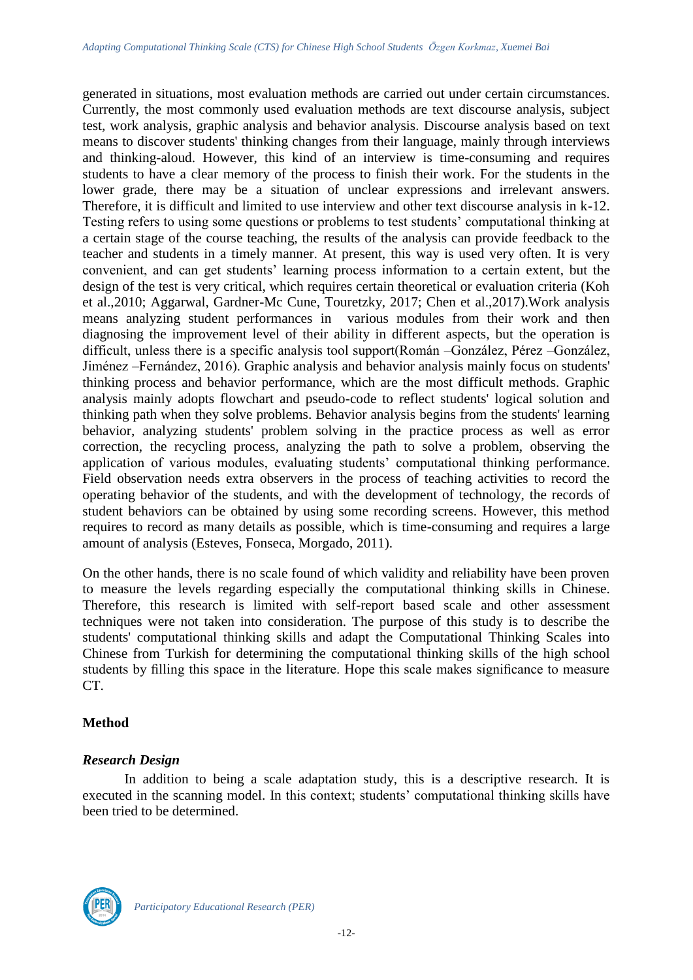generated in situations, most evaluation methods are carried out under certain circumstances. Currently, the most commonly used evaluation methods are text discourse analysis, subject test, work analysis, graphic analysis and behavior analysis. Discourse analysis based on text means to discover students' thinking changes from their language, mainly through interviews and thinking-aloud. However, this kind of an interview is time-consuming and requires students to have a clear memory of the process to finish their work. For the students in the lower grade, there may be a situation of unclear expressions and irrelevant answers. Therefore, it is difficult and limited to use interview and other text discourse analysis in k-12. Testing refers to using some questions or problems to test students' computational thinking at a certain stage of the course teaching, the results of the analysis can provide feedback to the teacher and students in a timely manner. At present, this way is used very often. It is very convenient, and can get students' learning process information to a certain extent, but the design of the test is very critical, which requires certain theoretical or evaluation criteria (Koh et al.,2010; Aggarwal, Gardner-Mc Cune, Touretzky, 2017; Chen et al.,2017).Work analysis means analyzing student performances in various modules from their work and then diagnosing the improvement level of their ability in different aspects, but the operation is difficult, unless there is a specific analysis tool support(Román –González, Pérez –González, Jiménez –Fernández, 2016). Graphic analysis and behavior analysis mainly focus on students' thinking process and behavior performance, which are the most difficult methods. Graphic analysis mainly adopts flowchart and pseudo-code to reflect students' logical solution and thinking path when they solve problems. Behavior analysis begins from the students' learning behavior, analyzing students' problem solving in the practice process as well as error correction, the recycling process, analyzing the path to solve a problem, observing the application of various modules, evaluating students' computational thinking performance. Field observation needs extra observers in the process of teaching activities to record the operating behavior of the students, and with the development of technology, the records of student behaviors can be obtained by using some recording screens. However, this method requires to record as many details as possible, which is time-consuming and requires a large amount of analysis (Esteves, Fonseca, Morgado, 2011).

On the other hands, there is no scale found of which validity and reliability have been proven to measure the levels regarding especially the computational thinking skills in Chinese. Therefore, this research is limited with self-report based scale and other assessment techniques were not taken into consideration. The purpose of this study is to describe the students' computational thinking skills and adapt the Computational Thinking Scales into Chinese from Turkish for determining the computational thinking skills of the high school students by filling this space in the literature. Hope this scale makes significance to measure CT.

### **Method**

### *Research Design*

In addition to being a scale adaptation study, this is a descriptive research. It is executed in the scanning model. In this context; students' computational thinking skills have been tried to be determined.

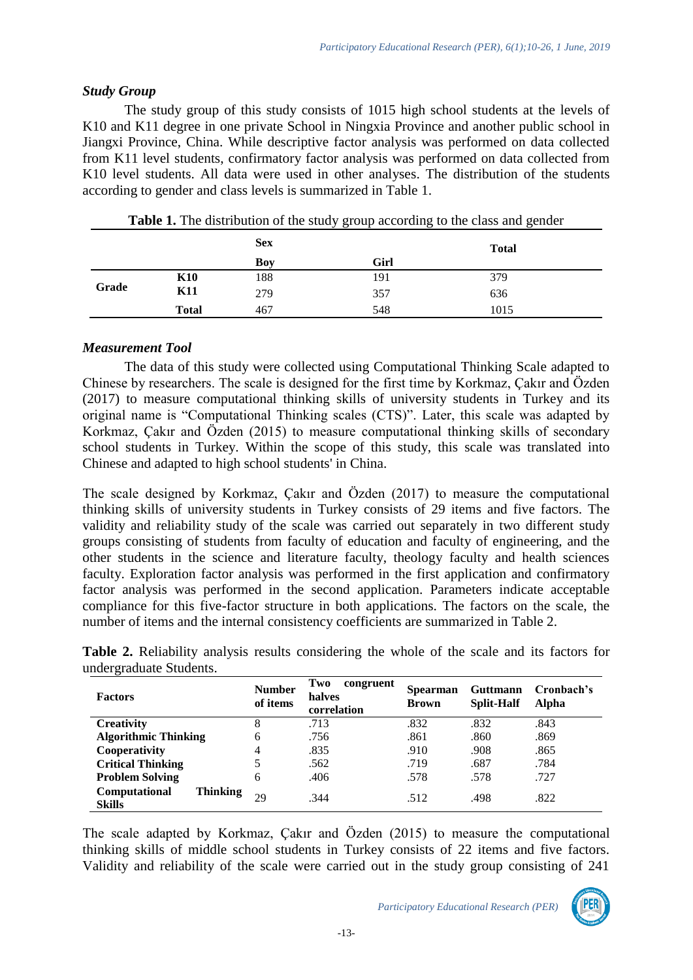### *Study Group*

The study group of this study consists of 1015 high school students at the levels of K<sub>10</sub> and K<sub>11</sub> degree in one private School in Ningxia Province and another public school in Jiangxi Province, China. While descriptive factor analysis was performed on data collected from K11 level students, confirmatory factor analysis was performed on data collected from K10 level students. All data were used in other analyses. The distribution of the students according to gender and class levels is summarized in Table 1.

|       |              | <b>Sex</b> |     | <b>Total</b> |  |
|-------|--------------|------------|-----|--------------|--|
|       |              | Boy        |     |              |  |
|       | <b>K10</b>   | 188        | 191 | 379          |  |
| Grade | <b>K11</b>   | 279        | 357 | 636          |  |
|       | <b>Total</b> | 467        | 548 | 1015         |  |

## *Measurement Tool*

The data of this study were collected using Computational Thinking Scale adapted to Chinese by researchers. The scale is designed for the first time by Korkmaz, Çakır and Özden (2017) to measure computational thinking skills of university students in Turkey and its original name is "Computational Thinking scales (CTS)". Later, this scale was adapted by Korkmaz, Çakır and Özden (2015) to measure computational thinking skills of secondary school students in Turkey. Within the scope of this study, this scale was translated into Chinese and adapted to high school students' in China.

The scale designed by Korkmaz, Çakır and Özden (2017) to measure the computational thinking skills of university students in Turkey consists of 29 items and five factors. The validity and reliability study of the scale was carried out separately in two different study groups consisting of students from faculty of education and faculty of engineering, and the other students in the science and literature faculty, theology faculty and health sciences faculty. Exploration factor analysis was performed in the first application and confirmatory factor analysis was performed in the second application. Parameters indicate acceptable compliance for this five-factor structure in both applications. The factors on the scale, the number of items and the internal consistency coefficients are summarized in Table 2.

|                         |  | Table 2. Reliability analysis results considering the whole of the scale and its factors for |  |  |  |  |  |
|-------------------------|--|----------------------------------------------------------------------------------------------|--|--|--|--|--|
| undergraduate Students. |  |                                                                                              |  |  |  |  |  |

| <b>Factors</b>                                    | <b>Number</b><br>of items | Two<br>congruent<br>halves<br>correlation | <b>Spearman</b><br><b>Brown</b> | <b>Guttmann</b><br><b>Split-Half</b> | Cronbach's<br>Alpha |
|---------------------------------------------------|---------------------------|-------------------------------------------|---------------------------------|--------------------------------------|---------------------|
| <b>Creativity</b>                                 | 8                         | .713                                      | .832                            | .832                                 | .843                |
| <b>Algorithmic Thinking</b>                       | 6                         | .756                                      | .861                            | .860                                 | .869                |
| Cooperativity                                     | 4                         | .835                                      | .910                            | .908                                 | .865                |
| <b>Critical Thinking</b>                          | 5                         | .562                                      | .719                            | .687                                 | .784                |
| <b>Problem Solving</b>                            | 6                         | .406                                      | .578                            | .578                                 | .727                |
| Computational<br><b>Thinking</b><br><b>Skills</b> | 29                        | .344                                      | .512                            | .498                                 | .822                |

The scale adapted by Korkmaz, Çakır and Özden (2015) to measure the computational thinking skills of middle school students in Turkey consists of 22 items and five factors. Validity and reliability of the scale were carried out in the study group consisting of 241

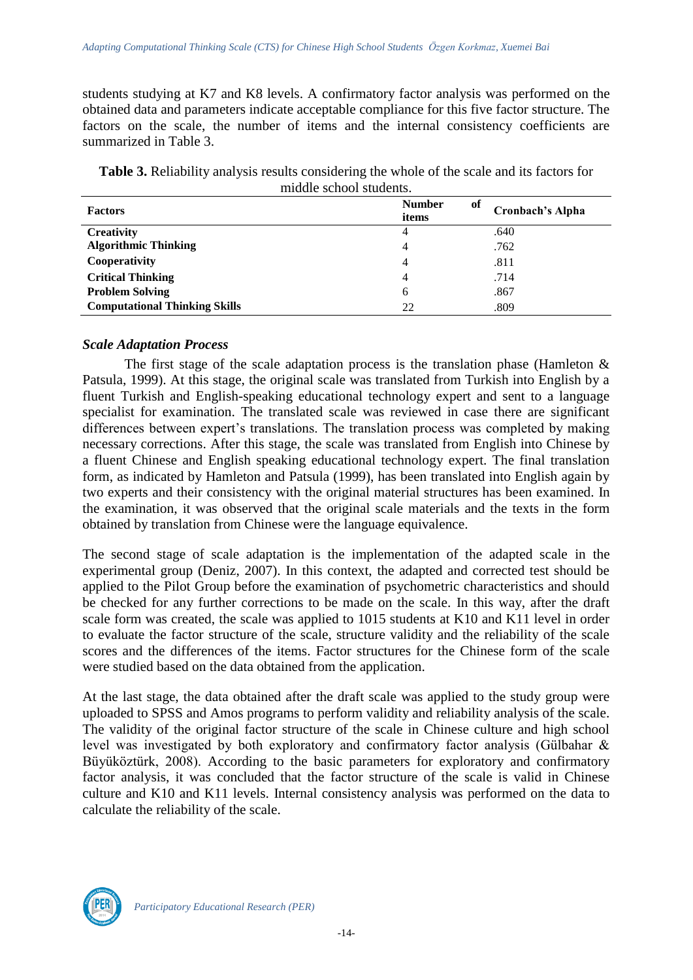students studying at K7 and K8 levels. A confirmatory factor analysis was performed on the obtained data and parameters indicate acceptable compliance for this five factor structure. The factors on the scale, the number of items and the internal consistency coefficients are summarized in Table 3.

**Table 3.** Reliability analysis results considering the whole of the scale and its factors for middle school students.

| <b>Factors</b>                       | <b>Number</b><br>of<br>items | Cronbach's Alpha |
|--------------------------------------|------------------------------|------------------|
| <b>Creativity</b>                    | 4                            | .640             |
| <b>Algorithmic Thinking</b>          | 4                            | .762             |
| Cooperativity                        | 4                            | .811             |
| <b>Critical Thinking</b>             | 4                            | .714             |
| <b>Problem Solving</b>               | 6                            | .867             |
| <b>Computational Thinking Skills</b> | 22                           | .809             |

### *Scale Adaptation Process*

The first stage of the scale adaptation process is the translation phase (Hamleton  $\&$ Patsula, 1999). At this stage, the original scale was translated from Turkish into English by a fluent Turkish and English-speaking educational technology expert and sent to a language specialist for examination. The translated scale was reviewed in case there are significant differences between expert's translations. The translation process was completed by making necessary corrections. After this stage, the scale was translated from English into Chinese by a fluent Chinese and English speaking educational technology expert. The final translation form, as indicated by Hamleton and Patsula (1999), has been translated into English again by two experts and their consistency with the original material structures has been examined. In the examination, it was observed that the original scale materials and the texts in the form obtained by translation from Chinese were the language equivalence.

The second stage of scale adaptation is the implementation of the adapted scale in the experimental group (Deniz, 2007). In this context, the adapted and corrected test should be applied to the Pilot Group before the examination of psychometric characteristics and should be checked for any further corrections to be made on the scale. In this way, after the draft scale form was created, the scale was applied to 1015 students at K10 and K11 level in order to evaluate the factor structure of the scale, structure validity and the reliability of the scale scores and the differences of the items. Factor structures for the Chinese form of the scale were studied based on the data obtained from the application.

At the last stage, the data obtained after the draft scale was applied to the study group were uploaded to SPSS and Amos programs to perform validity and reliability analysis of the scale. The validity of the original factor structure of the scale in Chinese culture and high school level was investigated by both exploratory and confirmatory factor analysis (Gülbahar & Büyüköztürk, 2008). According to the basic parameters for exploratory and confirmatory factor analysis, it was concluded that the factor structure of the scale is valid in Chinese culture and K10 and K11 levels. Internal consistency analysis was performed on the data to calculate the reliability of the scale.

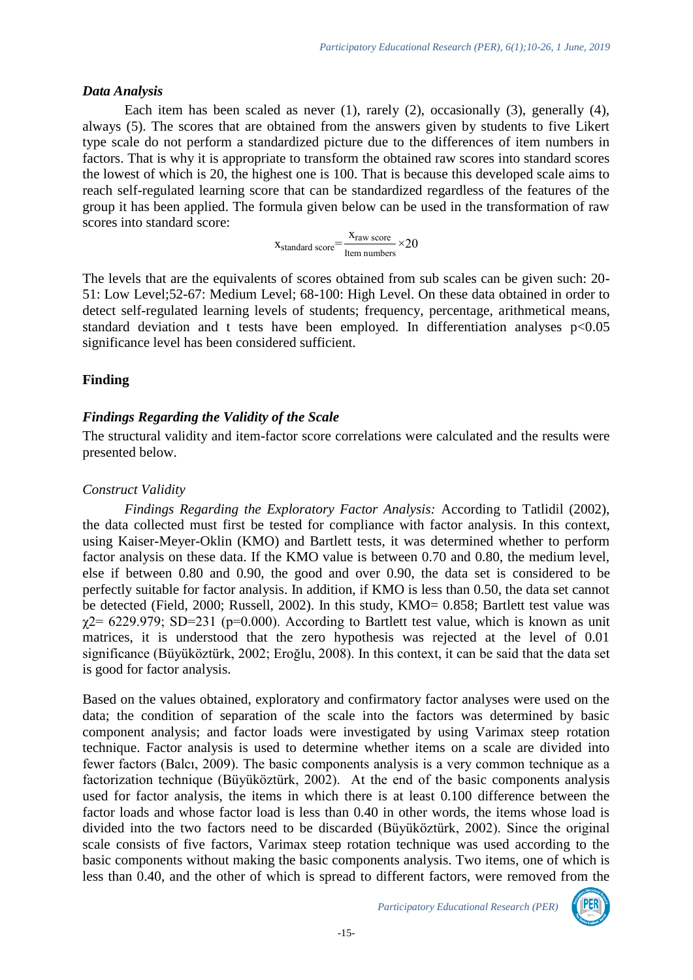### *Data Analysis*

Each item has been scaled as never (1), rarely (2), occasionally (3), generally (4), always (5). The scores that are obtained from the answers given by students to five Likert type scale do not perform a standardized picture due to the differences of item numbers in factors. That is why it is appropriate to transform the obtained raw scores into standard scores the lowest of which is 20, the highest one is 100. That is because this developed scale aims to reach self-regulated learning score that can be standardized regardless of the features of the group it has been applied. The formula given below can be used in the transformation of raw scores into standard score:

$$
x_{standard\ score} = \frac{x_{raw\ score}}{ \text{Item numbers}} \times 20
$$

The levels that are the equivalents of scores obtained from sub scales can be given such: 20- 51: Low Level;52-67: Medium Level; 68-100: High Level. On these data obtained in order to detect self-regulated learning levels of students; frequency, percentage, arithmetical means, standard deviation and t tests have been employed. In differentiation analyses  $p<0.05$ significance level has been considered sufficient.

### **Finding**

### *Findings Regarding the Validity of the Scale*

The structural validity and item-factor score correlations were calculated and the results were presented below.

### *Construct Validity*

*Findings Regarding the Exploratory Factor Analysis:* According to Tatlidil (2002), the data collected must first be tested for compliance with factor analysis. In this context, using Kaiser-Meyer-Oklin (KMO) and Bartlett tests, it was determined whether to perform factor analysis on these data. If the KMO value is between 0.70 and 0.80, the medium level, else if between 0.80 and 0.90, the good and over 0.90, the data set is considered to be perfectly suitable for factor analysis. In addition, if KMO is less than 0.50, the data set cannot be detected (Field, 2000; Russell, 2002). In this study, KMO= 0.858; Bartlett test value was  $\gamma$ 2 = 6229.979; SD=231 (p=0.000). According to Bartlett test value, which is known as unit matrices, it is understood that the zero hypothesis was rejected at the level of 0.01 significance (Büyüköztürk, 2002; Eroğlu, 2008). In this context, it can be said that the data set is good for factor analysis.

Based on the values obtained, exploratory and confirmatory factor analyses were used on the data; the condition of separation of the scale into the factors was determined by basic component analysis; and factor loads were investigated by using Varimax steep rotation technique. Factor analysis is used to determine whether items on a scale are divided into fewer factors (Balcı, 2009). The basic components analysis is a very common technique as a factorization technique (Büyüköztürk, 2002). At the end of the basic components analysis used for factor analysis, the items in which there is at least 0.100 difference between the factor loads and whose factor load is less than 0.40 in other words, the items whose load is divided into the two factors need to be discarded (Büyüköztürk, 2002). Since the original scale consists of five factors, Varimax steep rotation technique was used according to the basic components without making the basic components analysis. Two items, one of which is less than 0.40, and the other of which is spread to different factors, were removed from the

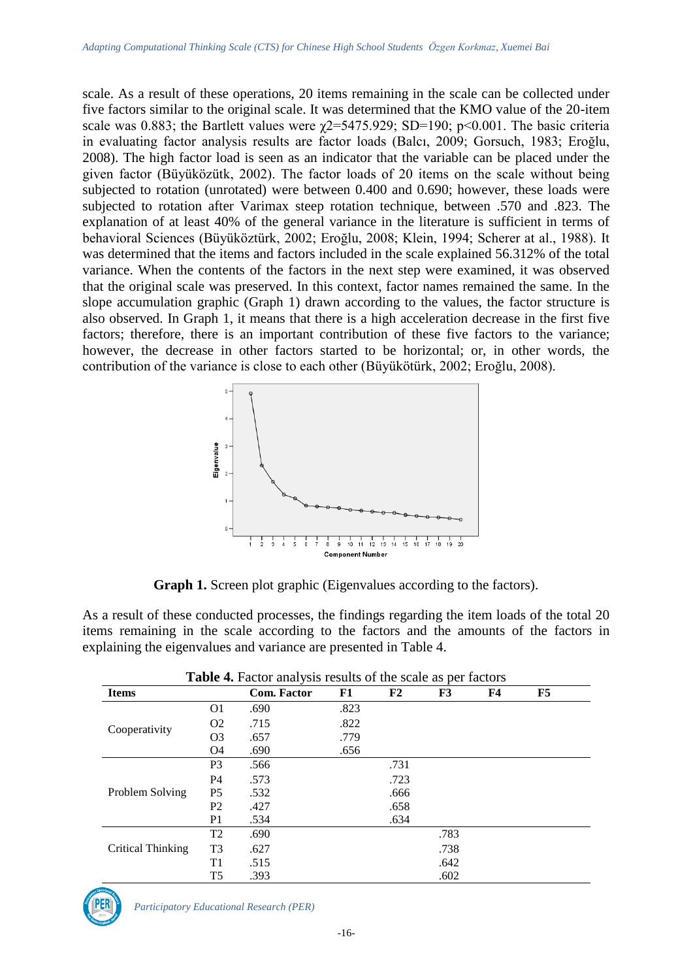scale. As a result of these operations, 20 items remaining in the scale can be collected under five factors similar to the original scale. It was determined that the KMO value of the 20-item scale was 0.883; the Bartlett values were  $\chi$ 2=5475.929; SD=190; p<0.001. The basic criteria in evaluating factor analysis results are factor loads (Balcı, 2009; Gorsuch, 1983; Eroğlu, 2008). The high factor load is seen as an indicator that the variable can be placed under the given factor (Büyüközütk, 2002). The factor loads of 20 items on the scale without being subjected to rotation (unrotated) were between 0.400 and 0.690; however, these loads were subjected to rotation after Varimax steep rotation technique, between .570 and .823. The explanation of at least 40% of the general variance in the literature is sufficient in terms of behavioral Sciences (Büyüköztürk, 2002; Eroğlu, 2008; Klein, 1994; Scherer at al., 1988). It was determined that the items and factors included in the scale explained 56.312% of the total variance. When the contents of the factors in the next step were examined, it was observed that the original scale was preserved. In this context, factor names remained the same. In the slope accumulation graphic (Graph 1) drawn according to the values, the factor structure is also observed. In Graph 1, it means that there is a high acceleration decrease in the first five factors; therefore, there is an important contribution of these five factors to the variance; however, the decrease in other factors started to be horizontal; or, in other words, the contribution of the variance is close to each other (Büyükötürk, 2002; Eroğlu, 2008).



**Graph 1.** Screen plot graphic (Eigenvalues according to the factors).

As a result of these conducted processes, the findings regarding the item loads of the total 20 items remaining in the scale according to the factors and the amounts of the factors in explaining the eigenvalues and variance are presented in Table 4.

| <b>Items</b>      |                | <b>Com. Factor</b> | F1   | F2   | F3   | <b>F4</b> | <b>F5</b> |
|-------------------|----------------|--------------------|------|------|------|-----------|-----------|
|                   | O1             | .690               | .823 |      |      |           |           |
|                   | O <sub>2</sub> | .715               | .822 |      |      |           |           |
| Cooperativity     | O <sub>3</sub> | .657               | .779 |      |      |           |           |
|                   | O4             | .690               | .656 |      |      |           |           |
|                   | P <sub>3</sub> | .566               |      | .731 |      |           |           |
|                   | <b>P4</b>      | .573               |      | .723 |      |           |           |
| Problem Solving   | P <sub>5</sub> | .532               |      | .666 |      |           |           |
|                   | P <sub>2</sub> | .427               |      | .658 |      |           |           |
|                   | P <sub>1</sub> | .534               |      | .634 |      |           |           |
|                   | T <sub>2</sub> | .690               |      |      | .783 |           |           |
| Critical Thinking | T <sub>3</sub> | .627               |      |      | .738 |           |           |
|                   | T1             | .515               |      |      | .642 |           |           |
|                   | T <sub>5</sub> | .393               |      |      | .602 |           |           |

**Table 4.** Factor analysis results of the scale as per factors

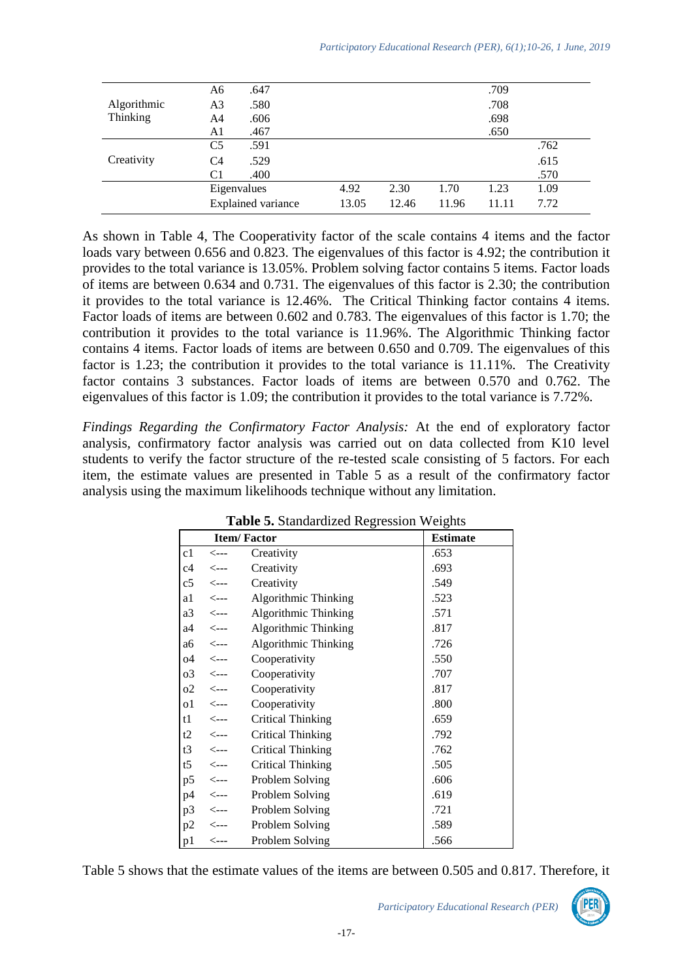|             | A6                        | .647        |       |       |       | .709  |      |  |
|-------------|---------------------------|-------------|-------|-------|-------|-------|------|--|
| Algorithmic | A3                        | .580        |       |       |       | .708  |      |  |
| Thinking    | A4                        | .606        | .698  |       |       |       |      |  |
|             | A1                        | .467        |       |       |       | .650  |      |  |
|             | C <sub>5</sub>            | .591        |       |       |       |       | .762 |  |
| Creativity  | C4                        | .529        |       |       |       |       | .615 |  |
|             | C1                        | .400        |       |       |       |       | .570 |  |
|             |                           | Eigenvalues |       | 2.30  | 1.70  | 1.23  | 1.09 |  |
|             | <b>Explained variance</b> |             | 13.05 | 12.46 | 11.96 | 11.11 | 7.72 |  |

As shown in Table 4, The Cooperativity factor of the scale contains 4 items and the factor loads vary between 0.656 and 0.823. The eigenvalues of this factor is 4.92; the contribution it provides to the total variance is 13.05%. Problem solving factor contains 5 items. Factor loads of items are between 0.634 and 0.731. The eigenvalues of this factor is 2.30; the contribution it provides to the total variance is 12.46%. The Critical Thinking factor contains 4 items. Factor loads of items are between 0.602 and 0.783. The eigenvalues of this factor is 1.70; the contribution it provides to the total variance is 11.96%. The Algorithmic Thinking factor contains 4 items. Factor loads of items are between 0.650 and 0.709. The eigenvalues of this factor is 1.23; the contribution it provides to the total variance is 11.11%. The Creativity factor contains 3 substances. Factor loads of items are between 0.570 and 0.762. The eigenvalues of this factor is 1.09; the contribution it provides to the total variance is 7.72%.

*Findings Regarding the Confirmatory Factor Analysis:* At the end of exploratory factor analysis, confirmatory factor analysis was carried out on data collected from K10 level students to verify the factor structure of the re-tested scale consisting of 5 factors. For each item, the estimate values are presented in Table 5 as a result of the confirmatory factor analysis using the maximum likelihoods technique without any limitation.

|    |                       | <b>Item/Factor</b>       | <b>Estimate</b> |
|----|-----------------------|--------------------------|-----------------|
| c1 | <---                  | Creativity               | .653            |
|    | $c4 \t < -$           | Creativity               | .693            |
|    | $c5 \leq -$           | Creativity               | .549            |
|    | $a1 \leq -1$          | Algorithmic Thinking     | .523            |
|    | $a3 \leftarrow -$     | Algorithmic Thinking     | .571            |
|    | a4 <---               | Algorithmic Thinking     | .817            |
|    | $a6 \quad \leftarrow$ | Algorithmic Thinking     | .726            |
|    | $04 \le -$            | Cooperativity            | .550            |
|    | $03 \leq -1$          | Cooperativity            | .707            |
|    | $02 \leq -1$          | Cooperativity            | .817            |
|    | $01 \leq -1$          | Cooperativity            | .800            |
|    | $t1 \leq -1$          | <b>Critical Thinking</b> | .659            |
|    | $t2 \leq -1$          | <b>Critical Thinking</b> | .792            |
|    | $t3 \quad \leftarrow$ | <b>Critical Thinking</b> | .762            |
|    | $t5$ <---             | <b>Critical Thinking</b> | .505            |
|    | $p5 \leq -1$          | Problem Solving          | .606            |
|    | $p4 \le -$            | Problem Solving          | .619            |
|    |                       | p3 <--- Problem Solving  | .721            |
|    |                       | p2 <--- Problem Solving  | .589            |
| p1 |                       | Problem Solving          | .566            |

Table 5. Standardized Regression Weights

Table 5 shows that the estimate values of the items are between 0.505 and 0.817. Therefore, it

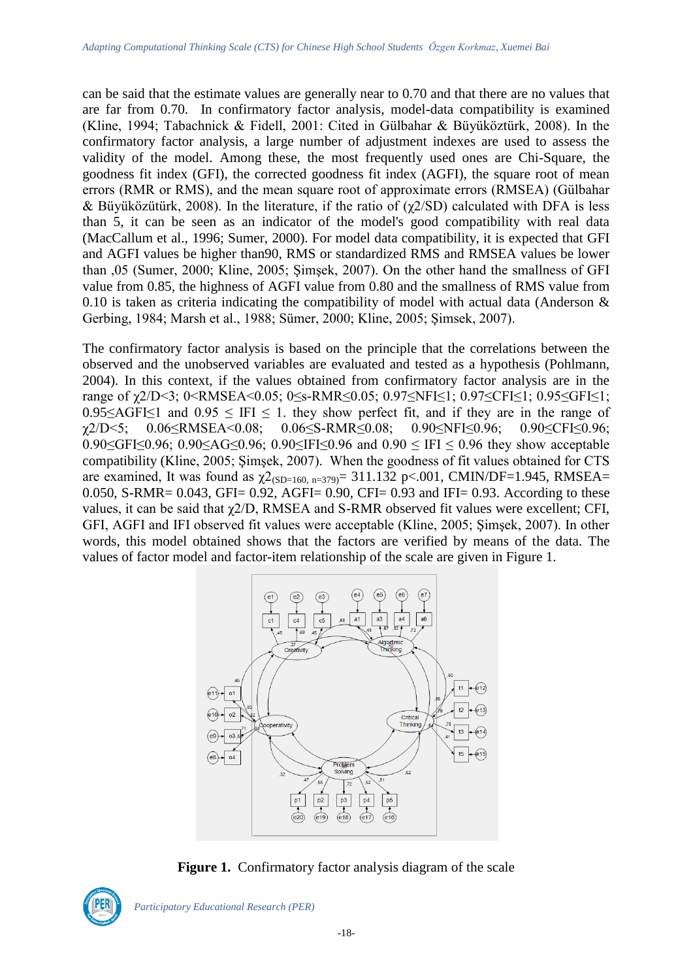can be said that the estimate values are generally near to 0.70 and that there are no values that are far from 0.70. In confirmatory factor analysis, model-data compatibility is examined (Kline, 1994; Tabachnick & Fidell, 2001: Cited in Gülbahar & Büyüköztürk, 2008). In the confirmatory factor analysis, a large number of adjustment indexes are used to assess the validity of the model. Among these, the most frequently used ones are Chi-Square, the goodness fit index (GFI), the corrected goodness fit index (AGFI), the square root of mean errors (RMR or RMS), and the mean square root of approximate errors (RMSEA) (Gülbahar & Büyüközütürk, 2008). In the literature, if the ratio of  $(χ2/SD)$  calculated with DFA is less than 5, it can be seen as an indicator of the model's good compatibility with real data (MacCallum et al., 1996; Sumer, 2000). For model data compatibility, it is expected that GFI and AGFI values be higher than90, RMS or standardized RMS and RMSEA values be lower than ,05 (Sumer, 2000; Kline, 2005; Şimşek, 2007). On the other hand the smallness of GFI value from 0.85, the highness of AGFI value from 0.80 and the smallness of RMS value from 0.10 is taken as criteria indicating the compatibility of model with actual data (Anderson  $\&$ Gerbing, 1984; Marsh et al., 1988; Sümer, 2000; Kline, 2005; Şimsek, 2007).

The confirmatory factor analysis is based on the principle that the correlations between the observed and the unobserved variables are evaluated and tested as a hypothesis (Pohlmann, 2004). In this context, if the values obtained from confirmatory factor analysis are in the range of γ2/D<3; 0<RMSEA<0.05; 0≤s-RMR≤0.05; 0.97≤NFI≤1; 0.97≤CFI≤1; 0.95≤GFI≤1;  $0.95 \leq \text{AGF} \leq 1$  and  $0.95 \leq \text{IF} \leq 1$ . they show perfect fit, and if they are in the range of χ2/D<5; 0.06≤RMSEA<0.08; 0.06≤S-RMR≤0.08; 0.90≤NFI≤0.96; 0.90≤CFI≤0.96; 0.90≤GFI≤0.96; 0.90≤AG≤0.96; 0.90≤IFI≤0.96 and 0.90 ≤ IFI ≤ 0.96 they show acceptable compatibility (Kline, 2005; Şimşek, 2007). When the goodness of fit values obtained for CTS are examined, It was found as  $\chi^2$ <sub>(SD=160, n=379)</sub> = 311.132 p<.001, CMIN/DF=1.945, RMSEA= 0.050, S-RMR= 0.043, GFI= 0.92, AGFI= 0.90, CFI= 0.93 and IFI= 0.93. According to these values, it can be said that χ2/D, RMSEA and S-RMR observed fit values were excellent; CFI, GFI, AGFI and IFI observed fit values were acceptable (Kline, 2005; Şimşek, 2007). In other words, this model obtained shows that the factors are verified by means of the data. The values of factor model and factor-item relationship of the scale are given in Figure 1.



**Figure 1.** Confirmatory factor analysis diagram of the scale



*Participatory Educational Research (PER)*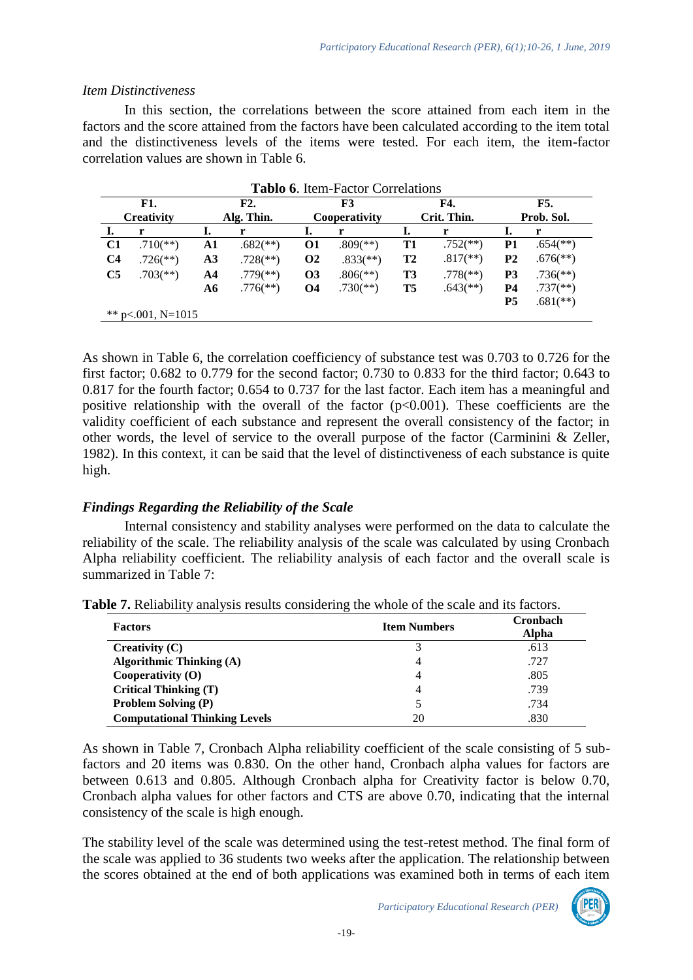### *Item Distinctiveness*

In this section, the correlations between the score attained from each item in the factors and the score attained from the factors have been calculated according to the item total and the distinctiveness levels of the items were tested. For each item, the item-factor correlation values are shown in Table 6.

| <b>F1.</b><br><b>Creativity</b> |                          | <b>Tablo 6. Item-Factor Correlations</b><br>F2.<br>Alg. Thin. | F3<br>Cooperativity      |           |                          | <b>F4.</b><br>Crit. Thin. | F5.<br>Prob. Sol.        |                |                          |
|---------------------------------|--------------------------|---------------------------------------------------------------|--------------------------|-----------|--------------------------|---------------------------|--------------------------|----------------|--------------------------|
|                                 | r                        | I.                                                            | r                        |           | r                        |                           | r                        | Ι.             | r                        |
| C1                              | $.710$ <sup>(**)</sup> ) | A1                                                            | $.682$ <sup>(**)</sup> ) | 01        | $.809$ <sup>(**)</sup> ) | T1                        | $.752$ <sup>(**)</sup> ) | P1             | $.654$ <sup>(**)</sup> ) |
| C <sub>4</sub>                  | $.726$ <sup>(**)</sup> ) | A3                                                            | $.728$ <sup>(**)</sup> ) | <b>O2</b> | $.833$ <sup>(**)</sup> ) | T <sub>2</sub>            | $.817$ <sup>**</sup> )   | P <sub>2</sub> | $.676$ <sup>**</sup> )   |
| C <sub>5</sub>                  | $.703$ <sup>(**)</sup> ) | A4                                                            | $.779$ <sup>(**)</sup> ) | <b>O3</b> | $.806$ <sup>(**)</sup> ) | T3                        | $.778$ <sup>(**)</sup> ) | P3             | $.736$ <sup>(**)</sup> ) |
|                                 |                          | A6                                                            | $.776$ <sup>(**)</sup> ) | <b>O4</b> | $.730$ <sup>(**)</sup> ) | T5                        | $.643$ <sup>**</sup> )   | <b>P4</b>      | $.737$ <sup>(**)</sup> ) |
|                                 |                          |                                                               |                          |           |                          |                           |                          | <b>P5</b>      | $.681$ <sup>(**)</sup> ) |
| **                              | $p<.001$ , N=1015        |                                                               |                          |           |                          |                           |                          |                |                          |

As shown in Table 6, the correlation coefficiency of substance test was 0.703 to 0.726 for the first factor; 0.682 to 0.779 for the second factor; 0.730 to 0.833 for the third factor; 0.643 to 0.817 for the fourth factor; 0.654 to 0.737 for the last factor. Each item has a meaningful and positive relationship with the overall of the factor  $(p<0.001)$ . These coefficients are the validity coefficient of each substance and represent the overall consistency of the factor; in other words, the level of service to the overall purpose of the factor (Carminini & Zeller, 1982). In this context, it can be said that the level of distinctiveness of each substance is quite high.

# *Findings Regarding the Reliability of the Scale*

Internal consistency and stability analyses were performed on the data to calculate the reliability of the scale. The reliability analysis of the scale was calculated by using Cronbach Alpha reliability coefficient. The reliability analysis of each factor and the overall scale is summarized in Table 7:

| <b>Factors</b>                       | ັ<br><b>Item Numbers</b> | <b>Cronbach</b><br><b>Alpha</b> |  |  |
|--------------------------------------|--------------------------|---------------------------------|--|--|
| Creativity $(C)$                     | 3                        | .613                            |  |  |
| <b>Algorithmic Thinking (A)</b>      | 4                        | .727                            |  |  |
| Cooperativity $(O)$                  | 4                        | .805                            |  |  |
| <b>Critical Thinking (T)</b>         | 4                        | .739                            |  |  |
| <b>Problem Solving (P)</b>           | 5                        | .734                            |  |  |
| <b>Computational Thinking Levels</b> | 20                       | .830                            |  |  |

**Table 7.** Reliability analysis results considering the whole of the scale and its factors.

As shown in Table 7, Cronbach Alpha reliability coefficient of the scale consisting of 5 subfactors and 20 items was 0.830. On the other hand, Cronbach alpha values for factors are between 0.613 and 0.805. Although Cronbach alpha for Creativity factor is below 0.70, Cronbach alpha values for other factors and CTS are above 0.70, indicating that the internal consistency of the scale is high enough.

The stability level of the scale was determined using the test-retest method. The final form of the scale was applied to 36 students two weeks after the application. The relationship between the scores obtained at the end of both applications was examined both in terms of each item

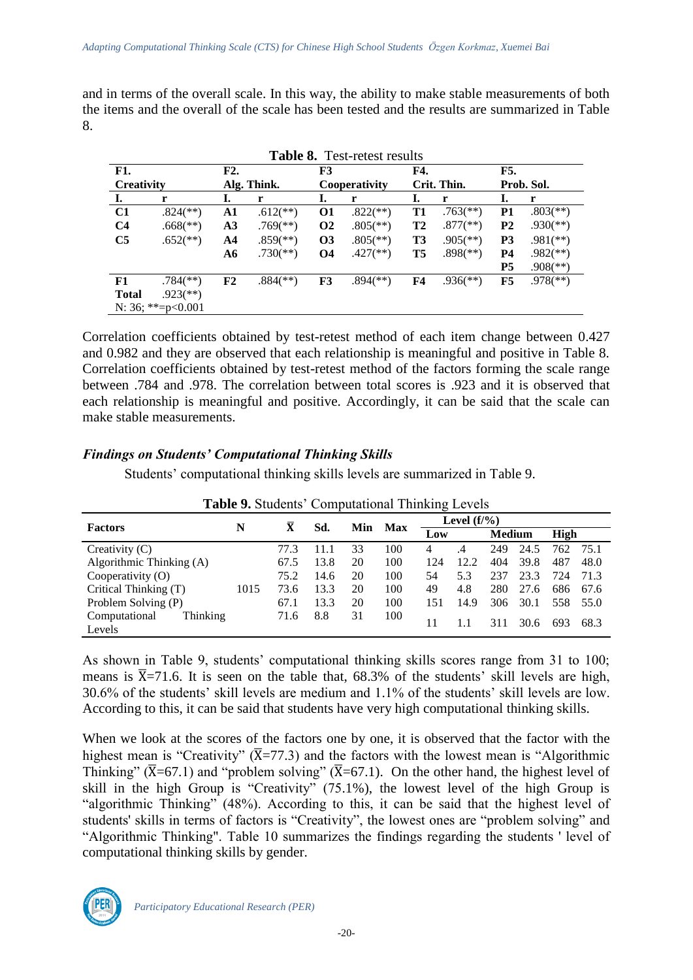and in terms of the overall scale. In this way, the ability to make stable measurements of both the items and the overall of the scale has been tested and the results are summarized in Table 8.

**Table 8.** Test-retest results

|                   |                          |    | 1 adie 0.                |                      | Test-retest results      |                |                          |                |                          |  |
|-------------------|--------------------------|----|--------------------------|----------------------|--------------------------|----------------|--------------------------|----------------|--------------------------|--|
| <b>F1.</b><br>F2. |                          | F3 |                          | F4.                  |                          | F5.            |                          |                |                          |  |
| <b>Creativity</b> |                          |    | Alg. Think.              |                      | Cooperativity            |                | Crit. Thin.              | Prob. Sol.     |                          |  |
| I.                | r                        | I. | r                        | ı.                   | r                        | Ι.             | r                        | I.             | r                        |  |
| C1                | $.824$ <sup>(**)</sup> ) | A1 | $.612$ <sup>**</sup> )   | 01                   | $.822$ (**)              | T1             | $.763$ <sup>**</sup> )   | P <sub>1</sub> | $.803$ <sup>(**)</sup> ) |  |
| C <sub>4</sub>    | $.668$ <sup>(**)</sup> ) | A3 | $.769$ <sup>(**)</sup> ) | <b>O<sub>2</sub></b> | $.805$ <sup>(**)</sup> ) | T <sub>2</sub> | $.877$ <sup>(**)</sup> ) | P <sub>2</sub> | $.930$ <sup>(**)</sup> ) |  |
| C <sub>5</sub>    | $.652$ <sup>**</sup> )   | A4 | $.859$ <sup>(**)</sup> ) | <b>O3</b>            | $.805$ <sup>(**)</sup> ) | T3             | $.905$ <sup>(**)</sup> ) | P <sub>3</sub> | $.981$ <sup>(**)</sup> ) |  |
|                   |                          | A6 | $.730$ <sup>(**)</sup> ) | <b>O4</b>            | $.427$ <sup>(**)</sup> ) | T5             | $.898$ <sup>(**)</sup> ) | <b>P4</b>      | $.982$ <sup>(**)</sup> ) |  |
|                   |                          |    |                          |                      |                          |                |                          | P <sub>5</sub> | $.908$ <sup>(**)</sup> ) |  |
| F1                | $.784$ <sup>(**)</sup> ) | F2 | $.884$ <sup>(**)</sup> ) | F3                   | $.894$ <sup>(**)</sup> ) | F4             | $.936$ <sup>(**)</sup> ) | F5             | $.978$ <sup>(**)</sup> ) |  |
| <b>Total</b>      | $.923$ <sup>(**)</sup> ) |    |                          |                      |                          |                |                          |                |                          |  |
|                   | N: 36; **= $p<0.001$     |    |                          |                      |                          |                |                          |                |                          |  |

Correlation coefficients obtained by test-retest method of each item change between 0.427 and 0.982 and they are observed that each relationship is meaningful and positive in Table 8. Correlation coefficients obtained by test-retest method of the factors forming the scale range between .784 and .978. The correlation between total scores is .923 and it is observed that each relationship is meaningful and positive. Accordingly, it can be said that the scale can make stable measurements.

### *Findings on Students' Computational Thinking Skills*

Students' computational thinking skills levels are summarized in Table 9.

|                               | <b>Tuble</b> 2. Diagonts Comparational Thinking Levels |      |      |            |     |                |      |               |      |      |      |  |
|-------------------------------|--------------------------------------------------------|------|------|------------|-----|----------------|------|---------------|------|------|------|--|
| <b>Factors</b>                | N                                                      | X    | Sd.  | <b>Min</b> | Max | Level $(f/\%)$ |      |               |      |      |      |  |
|                               |                                                        |      |      |            |     | Low            |      | <b>Medium</b> |      | High |      |  |
| Creativity $(C)$              |                                                        | 77.3 | 11.1 | 33         | 100 | 4              | .4   | 249           | 24.5 | 762  | 75.1 |  |
| Algorithmic Thinking $(A)$    | 67.5                                                   | 13.8 | 20   | 100        | 124 | 12.2           | 404  | 39.8          | 487  | 48.0 |      |  |
| Cooperativity (O)             |                                                        | 75.2 | 14.6 | 20         | 100 | 54             | 5.3  | 237           | 23.3 | 724  | 71.3 |  |
| Critical Thinking (T)<br>1015 |                                                        | 73.6 | 13.3 | 20         | 100 | 49             | 4.8  | 280           | 27.6 | 686  | 67.6 |  |
| Problem Solving (P)           |                                                        | 67.1 | 13.3 | 20         | 100 | 151            | 14.9 | 306           | 30.1 | 558  | 55.0 |  |
| Computational<br>Thinking     |                                                        | 71.6 | 8.8  | 31         | 100 | 11             |      | 311           | 30.6 | 693  | 68.3 |  |
| Levels                        |                                                        |      |      |            |     |                |      |               |      |      |      |  |

**Table 9.** Students' Computational Thinking Levels

As shown in Table 9, students' computational thinking skills scores range from 31 to 100; means is  $\overline{X}$ =71.6. It is seen on the table that, 68.3% of the students' skill levels are high, 30.6% of the students' skill levels are medium and 1.1% of the students' skill levels are low. According to this, it can be said that students have very high computational thinking skills.

When we look at the scores of the factors one by one, it is observed that the factor with the highest mean is "Creativity" ( $\overline{X}$ =77.3) and the factors with the lowest mean is "Algorithmic Thinking" ( $\overline{X}$ =67.1) and "problem solving" ( $\overline{X}$ =67.1). On the other hand, the highest level of skill in the high Group is "Creativity" (75.1%), the lowest level of the high Group is "algorithmic Thinking" (48%). According to this, it can be said that the highest level of students' skills in terms of factors is "Creativity", the lowest ones are "problem solving" and "Algorithmic Thinking". Table 10 summarizes the findings regarding the students ' level of computational thinking skills by gender.

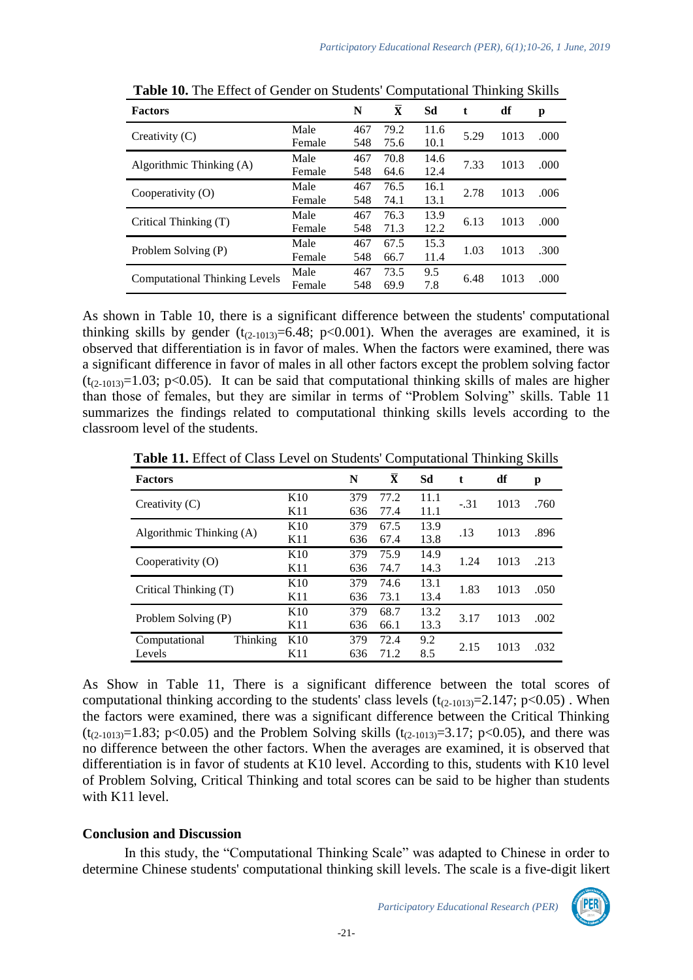| <b>Factors</b>                       |        | N   | $\bar{\mathbf{X}}$ | Sd   | t    | df   | p    |
|--------------------------------------|--------|-----|--------------------|------|------|------|------|
| Creativity $(C)$                     | Male   | 467 | 79.2               | 11.6 | 5.29 | 1013 | .000 |
|                                      | Female | 548 | 75.6               | 10.1 |      |      |      |
| Algorithmic Thinking $(A)$           | Male   | 467 | 70.8               | 14.6 | 7.33 | 1013 | .000 |
|                                      | Female | 548 | 64.6               | 12.4 |      |      |      |
| Cooperativity $(0)$                  | Male   | 467 | 76.5               | 16.1 | 2.78 | 1013 | .006 |
|                                      | Female | 548 | 74.1               | 13.1 |      |      |      |
| Critical Thinking (T)                | Male   | 467 | 76.3               | 13.9 | 6.13 | 1013 | .000 |
|                                      | Female | 548 | 71.3               | 12.2 |      |      |      |
| Problem Solving (P)                  | Male   | 467 | 67.5               | 15.3 | 1.03 | 1013 | .300 |
|                                      | Female | 548 | 66.7               | 11.4 |      |      |      |
| <b>Computational Thinking Levels</b> | Male   | 467 | 73.5               | 9.5  | 6.48 | 1013 | .000 |
|                                      | Female | 548 | 69.9               | 7.8  |      |      |      |

**Table 10.** The Effect of Gender on Students' Computational Thinking Skills

As shown in Table 10, there is a significant difference between the students' computational thinking skills by gender  $(t_{(2-1013)}=6.48; p<0.001)$ . When the averages are examined, it is observed that differentiation is in favor of males. When the factors were examined, there was a significant difference in favor of males in all other factors except the problem solving factor  $(t_{(2-1013)}=1.03; p<0.05)$ . It can be said that computational thinking skills of males are higher than those of females, but they are similar in terms of "Problem Solving" skills. Table 11 summarizes the findings related to computational thinking skills levels according to the classroom level of the students.

**Table 11.** Effect of Class Level on Students' Computational Thinking Skills

| p    |
|------|
| .760 |
|      |
| .896 |
|      |
| .213 |
|      |
|      |
| .050 |
| .002 |
|      |
| .032 |
|      |
|      |

As Show in Table 11, There is a significant difference between the total scores of computational thinking according to the students' class levels  $(t_{(2-1013)}=2.147; p<0.05)$ . When the factors were examined, there was a significant difference between the Critical Thinking  $(t_{(2-1013)}=1.83$ ; p<0.05) and the Problem Solving skills  $(t_{(2-1013)}=3.17$ ; p<0.05), and there was no difference between the other factors. When the averages are examined, it is observed that differentiation is in favor of students at K10 level. According to this, students with K10 level of Problem Solving, Critical Thinking and total scores can be said to be higher than students with K11 level.

### **Conclusion and Discussion**

In this study, the "Computational Thinking Scale" was adapted to Chinese in order to determine Chinese students' computational thinking skill levels. The scale is a five-digit likert

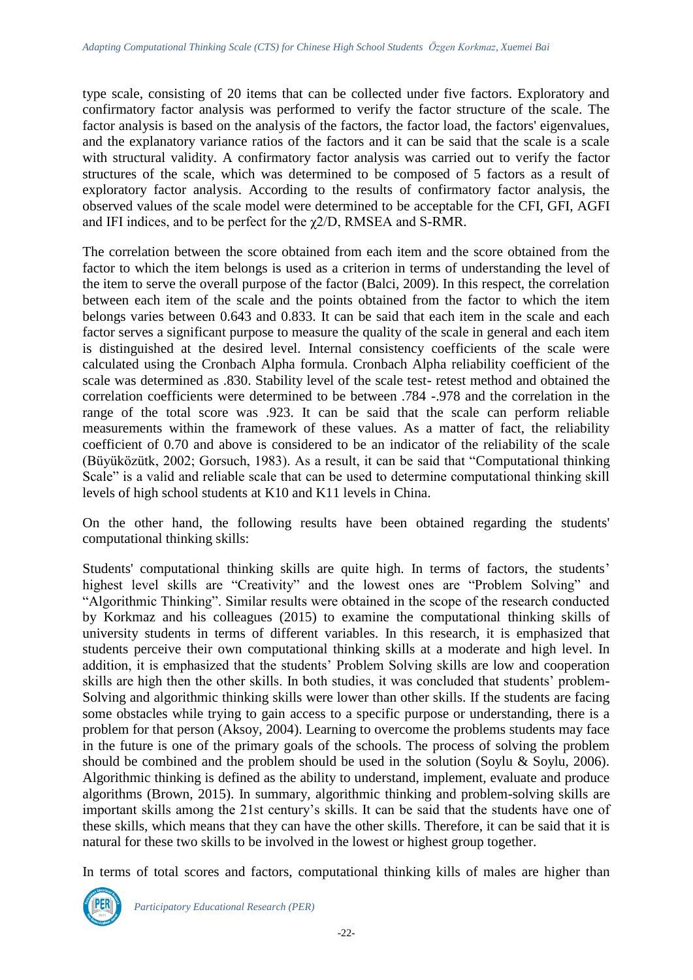type scale, consisting of 20 items that can be collected under five factors. Exploratory and confirmatory factor analysis was performed to verify the factor structure of the scale. The factor analysis is based on the analysis of the factors, the factor load, the factors' eigenvalues, and the explanatory variance ratios of the factors and it can be said that the scale is a scale with structural validity. A confirmatory factor analysis was carried out to verify the factor structures of the scale, which was determined to be composed of 5 factors as a result of exploratory factor analysis. According to the results of confirmatory factor analysis, the observed values of the scale model were determined to be acceptable for the CFI, GFI, AGFI and IFI indices, and to be perfect for the χ2/D, RMSEA and S-RMR.

The correlation between the score obtained from each item and the score obtained from the factor to which the item belongs is used as a criterion in terms of understanding the level of the item to serve the overall purpose of the factor (Balci, 2009). In this respect, the correlation between each item of the scale and the points obtained from the factor to which the item belongs varies between 0.643 and 0.833. It can be said that each item in the scale and each factor serves a significant purpose to measure the quality of the scale in general and each item is distinguished at the desired level. Internal consistency coefficients of the scale were calculated using the Cronbach Alpha formula. Cronbach Alpha reliability coefficient of the scale was determined as .830. Stability level of the scale test- retest method and obtained the correlation coefficients were determined to be between .784 -.978 and the correlation in the range of the total score was .923. It can be said that the scale can perform reliable measurements within the framework of these values. As a matter of fact, the reliability coefficient of 0.70 and above is considered to be an indicator of the reliability of the scale (Büyüközütk, 2002; Gorsuch, 1983). As a result, it can be said that "Computational thinking Scale" is a valid and reliable scale that can be used to determine computational thinking skill levels of high school students at K10 and K11 levels in China.

On the other hand, the following results have been obtained regarding the students' computational thinking skills:

Students' computational thinking skills are quite high. In terms of factors, the students' highest level skills are "Creativity" and the lowest ones are "Problem Solving" and "Algorithmic Thinking". Similar results were obtained in the scope of the research conducted by Korkmaz and his colleagues (2015) to examine the computational thinking skills of university students in terms of different variables. In this research, it is emphasized that students perceive their own computational thinking skills at a moderate and high level. In addition, it is emphasized that the students' Problem Solving skills are low and cooperation skills are high then the other skills. In both studies, it was concluded that students' problem-Solving and algorithmic thinking skills were lower than other skills. If the students are facing some obstacles while trying to gain access to a specific purpose or understanding, there is a problem for that person (Aksoy, 2004). Learning to overcome the problems students may face in the future is one of the primary goals of the schools. The process of solving the problem should be combined and the problem should be used in the solution (Soylu & Soylu, 2006). Algorithmic thinking is defined as the ability to understand, implement, evaluate and produce algorithms (Brown, 2015). In summary, algorithmic thinking and problem-solving skills are important skills among the 21st century's skills. It can be said that the students have one of these skills, which means that they can have the other skills. Therefore, it can be said that it is natural for these two skills to be involved in the lowest or highest group together.

In terms of total scores and factors, computational thinking kills of males are higher than

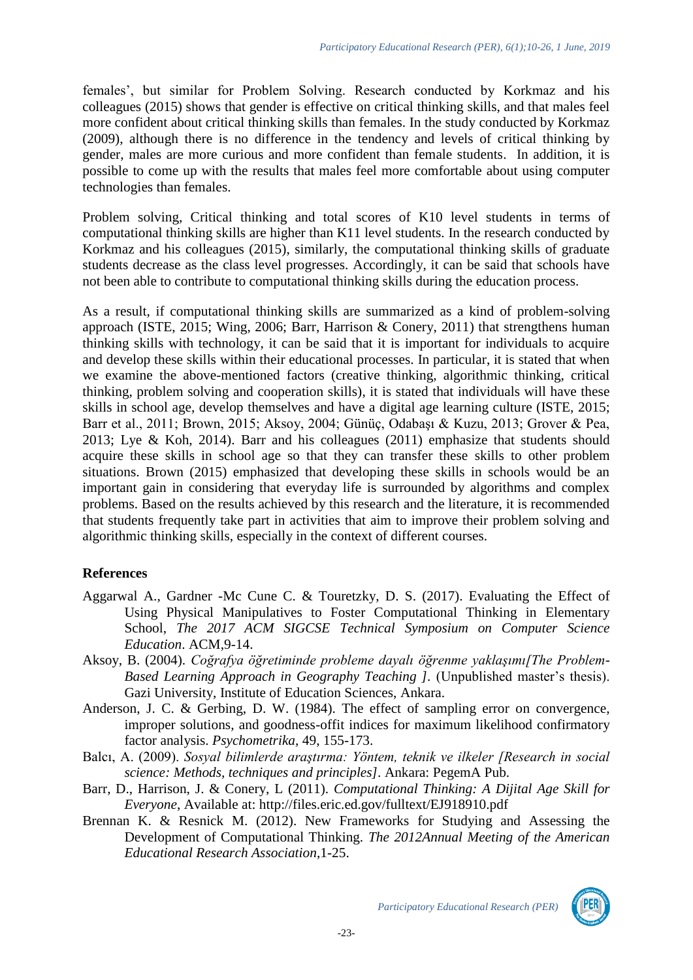females', but similar for Problem Solving. Research conducted by Korkmaz and his colleagues (2015) shows that gender is effective on critical thinking skills, and that males feel more confident about critical thinking skills than females. In the study conducted by Korkmaz (2009), although there is no difference in the tendency and levels of critical thinking by gender, males are more curious and more confident than female students. In addition, it is possible to come up with the results that males feel more comfortable about using computer technologies than females.

Problem solving, Critical thinking and total scores of K10 level students in terms of computational thinking skills are higher than K11 level students. In the research conducted by Korkmaz and his colleagues (2015), similarly, the computational thinking skills of graduate students decrease as the class level progresses. Accordingly, it can be said that schools have not been able to contribute to computational thinking skills during the education process.

As a result, if computational thinking skills are summarized as a kind of problem-solving approach (ISTE, 2015; Wing, 2006; Barr, Harrison & Conery, 2011) that strengthens human thinking skills with technology, it can be said that it is important for individuals to acquire and develop these skills within their educational processes. In particular, it is stated that when we examine the above-mentioned factors (creative thinking, algorithmic thinking, critical thinking, problem solving and cooperation skills), it is stated that individuals will have these skills in school age, develop themselves and have a digital age learning culture (ISTE, 2015; Barr et al., 2011; Brown, 2015; Aksoy, 2004; Günüç, Odabaşı & Kuzu, 2013; Grover & Pea, 2013; Lye & Koh, 2014). Barr and his colleagues (2011) emphasize that students should acquire these skills in school age so that they can transfer these skills to other problem situations. Brown (2015) emphasized that developing these skills in schools would be an important gain in considering that everyday life is surrounded by algorithms and complex problems. Based on the results achieved by this research and the literature, it is recommended that students frequently take part in activities that aim to improve their problem solving and algorithmic thinking skills, especially in the context of different courses.

# **References**

- Aggarwal A., Gardner -Mc Cune C. & Touretzky, D. S. (2017). Evaluating the Effect of Using Physical Manipulatives to Foster Computational Thinking in Elementary School, *The 2017 ACM SIGCSE Technical Symposium on Computer Science Education*. ACM,9-14.
- Aksoy, B. (2004). *Coğrafya öğretiminde probleme dayalı öğrenme yaklaşımı[The Problem-Based Learning Approach in Geography Teaching ].* (Unpublished master's thesis). Gazi University, Institute of Education Sciences, Ankara.
- Anderson, J. C. & Gerbing, D. W. (1984). The effect of sampling error on convergence, improper solutions, and goodness-offit indices for maximum likelihood confirmatory factor analysis. *Psychometrika,* 49, 155-173.
- Balcı, A. (2009). *Sosyal bilimlerde araştırma: Yöntem, teknik ve ilkeler [Research in social science: Methods, techniques and principles].* Ankara: PegemA Pub.
- Barr, D., Harrison, J. & Conery, L (2011). *Computational Thinking: A Dijital Age Skill for Everyone*, Available at: http://files.eric.ed.gov/fulltext/EJ918910.pdf
- Brennan K. & Resnick M. (2012). New Frameworks for Studying and Assessing the Development of Computational Thinking. *The 2012Annual Meeting of the American Educational Research Association*,1-25.

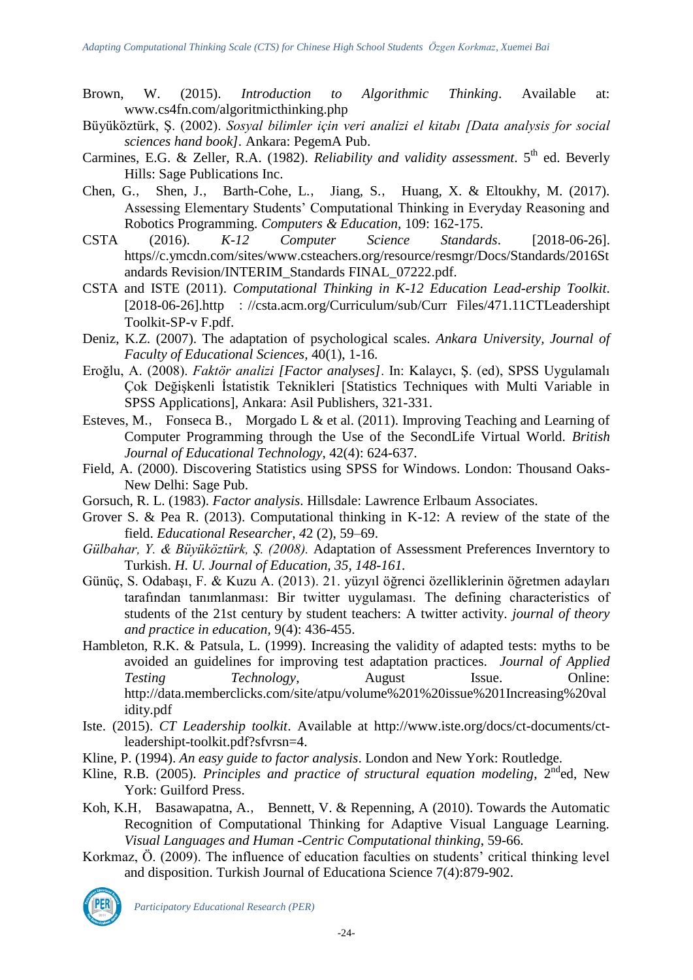- Brown, W. (2015). *Introduction to Algorithmic Thinking*. Available at: [www.cs4fn.com/algoritmicthinking.php](http://www.cs4fn.com/algoritmicthinking.php)
- Büyüköztürk, Ş. (2002). *Sosyal bilimler için veri analizi el kitabı [Data analysis for social sciences hand book].* Ankara: PegemA Pub.
- Carmines, E.G. & Zeller, R.A. (1982). *Reliability and validity assessment*. 5<sup>th</sup> ed. Beverly Hills: Sage Publications Inc.
- Chen, G., Shen, J., Barth-Cohe, L., Jiang, S., Huang, X. & Eltoukhy, M. (2017). Assessing Elementary Students' Computational Thinking in Everyday Reasoning and Robotics Programming. *Computers & Education,* 109: 162-175.
- CSTA (2016). *K-12 Computer Science Standards*. [2018-06-26]. https//c.ymcdn.com/sites/www.csteachers.org/resource/resmgr/Docs/Standards/2016St andards Revision/INTERIM\_Standards FINAL\_07222.pdf.
- CSTA and ISTE (2011). *Computational Thinking in K-12 Education Lead-ership Toolkit*. [2018-06-26].http ://csta.acm.org/Curriculum/sub/Curr Files/471.11CTLeadershipt Toolkit-SP-v F.pdf.
- Deniz, K.Z. (2007). The adaptation of psychological scales. *Ankara University, Journal of Faculty of Educational Sciences,* 40(1), 1-16.
- Eroğlu, A. (2008). *Faktör analizi [Factor analyses]*. In: Kalaycı, Ş. (ed), SPSS Uygulamalı Çok Değişkenli İstatistik Teknikleri [Statistics Techniques with Multi Variable in SPSS Applications], Ankara: Asil Publishers, 321-331.
- Esteves, M., Fonseca B., Morgado L & et al. (2011). Improving Teaching and Learning of Computer Programming through the Use of the SecondLife Virtual World. *British Journal of Educational Technology*, 42(4): 624-637.
- Field, A. (2000). Discovering Statistics using SPSS for Windows. London: Thousand Oaks-New Delhi: Sage Pub.
- Gorsuch, R. L. (1983). *Factor analysis*. Hillsdale: Lawrence Erlbaum Associates.
- Grover S. & Pea R. (2013). Computational thinking in K-12: A review of the state of the field. *Educational Researcher, 4*2 (2), 59–69.
- *Gülbahar, Y. & Büyüköztürk, Ş. (2008).* Adaptation of Assessment Preferences Inverntory to Turkish. *H. U. Journal of Education, 35, 148-161.*
- Günüç, S. Odabaşı, F. & Kuzu A. (2013). 21. yüzyıl öğrenci özelliklerinin öğretmen adayları tarafından tanımlanması: Bir twitter uygulaması. The defining characteristics of students of the 21st century by student teachers: A twitter activity. *journal of theory and practice in education,* 9(4): 436-455.
- Hambleton, R.K. & Patsula, L. (1999). Increasing the validity of adapted tests: myths to be avoided an guidelines for improving test adaptation practices. *Journal of Applied Testing Technology*, August Issue. Online: http://data.memberclicks.com/site/atpu/volume%201%20issue%201Increasing%20val idity.pdf
- Iste. (2015). *CT Leadership toolkit*. Available at http://www.iste.org/docs/ct-documents/ctleadershipt-toolkit.pdf?sfvrsn=4.
- Kline, P. (1994). *An easy guide to factor analysis*. London and New York: Routledge.
- Kline, R.B. (2005). *Principles and practice of structural equation modeling*,  $2^{nd}$ ed, New York: Guilford Press.
- Koh, K.H, Basawapatna, A., Bennett, V. & Repenning, A (2010). Towards the Automatic Recognition of Computational Thinking for Adaptive Visual Language Learning. *Visual Languages and Human -Centric Computational thinking*, 59-66.
- Korkmaz, Ö. (2009). The influence of education faculties on students' critical thinking level and disposition. Turkish Journal of Educationa Science 7(4):879-902.



*Participatory Educational Research (PER)*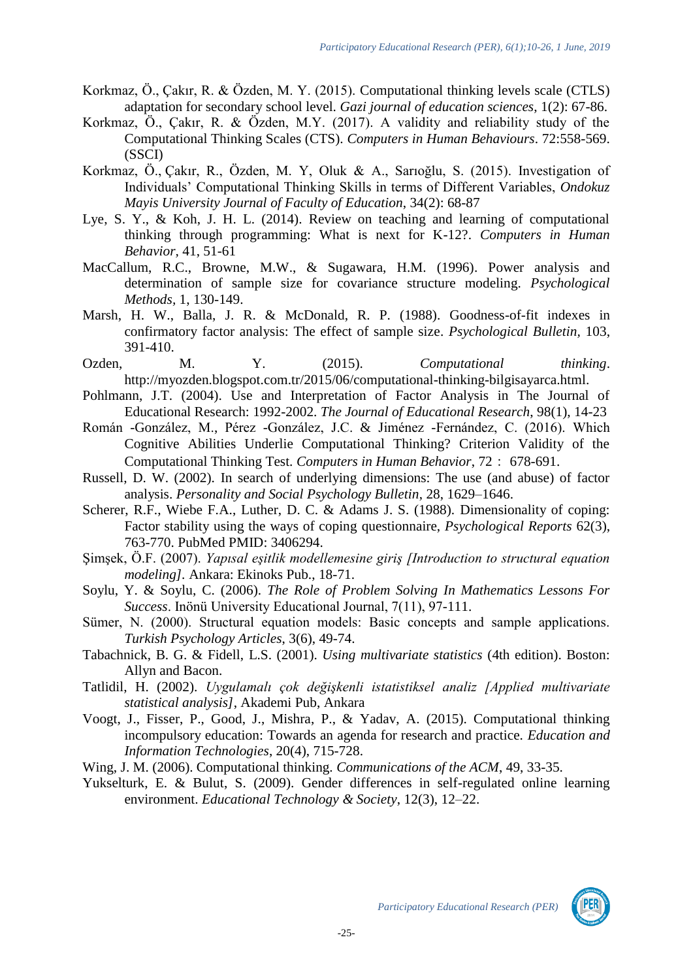- Korkmaz, Ö., Çakır, R. & Özden, M. Y. (2015). Computational thinking levels scale (CTLS) adaptation for secondary school level. *Gazi journal of education sciences*, 1(2): 67-86.
- Korkmaz, Ö., Çakır, R. & Özden, M.Y. (2017). A validity and reliability study of the Computational Thinking Scales (CTS). *Computers in Human Behaviours*. 72:558-569. (SSCI)
- Korkmaz, Ö., Çakır, R., Özden, M. Y, Oluk & A., Sarıoğlu, S. (2015). Investigation of Individuals' Computational Thinking Skills in terms of Different Variables, *Ondokuz Mayis University Journal of Faculty of Education*, 34(2): 68-87
- Lye, S. Y., & Koh, J. H. L. (2014). Review on teaching and learning of computational thinking through programming: What is next for K-12?. *Computers in Human Behavior,* 41, 51-61
- MacCallum, R.C., Browne, M.W., & Sugawara, H.M. (1996). Power analysis and determination of sample size for covariance structure modeling. *Psychological Methods,* 1, 130-149.
- Marsh, H. W., Balla, J. R. & McDonald, R. P. (1988). Goodness-of-fit indexes in confirmatory factor analysis: The effect of sample size. *Psychological Bulletin,* 103, 391-410.
- Ozden, M. Y. (2015). *Computational thinking*. [http://myozden.blogspot.com.tr/2015/06/computational-thinking-bilgisayarca.html.](http://myozden.blogspot.com.tr/2015/06/computational-thinking-bilgisayarca.html)
- Pohlmann, J.T. (2004). Use and Interpretation of Factor Analysis in The Journal of Educational Research: 1992-2002. *The Journal of Educational Research*, 98(1), 14-23
- Román -González, M., Pérez -González, J.C. & Jiménez -Fernández, C. (2016). Which Cognitive Abilities Underlie Computational Thinking? Criterion Validity of the Computational Thinking Test. *Computers in Human Behavior*, 72: 678-691.
- Russell, D. W. (2002). In search of underlying dimensions: The use (and abuse) of factor analysis. *Personality and Social Psychology Bulletin*, 28, 1629–1646.
- Scherer, R.F., Wiebe F.A., Luther, D. C. & Adams J. S. (1988). Dimensionality of coping: Factor stability using the ways of coping questionnaire, *Psychological Reports* 62(3), 763-770. PubMed PMID: 3406294.
- Şimşek, Ö.F. (2007). *Yapısal eşitlik modellemesine giriş [Introduction to structural equation modeling].* Ankara: Ekinoks Pub., 18-71.
- Soylu, Y. & Soylu, C. (2006). *The Role of Problem Solving In Mathematics Lessons For Success*. Inönü University Educational Journal, 7(11), 97-111.
- Sümer, N. (2000). Structural equation models: Basic concepts and sample applications. *Turkish Psychology Articles*, 3(6), 49-74.
- Tabachnick, B. G. & Fidell, L.S. (2001). *Using multivariate statistics* (4th edition). Boston: Allyn and Bacon.
- Tatlidil, H. (2002). *Uygulamalı çok değişkenli istatistiksel analiz [Applied multivariate statistical analysis]*, Akademi Pub, Ankara
- Voogt, J., Fisser, P., Good, J., Mishra, P., & Yadav, A. (2015). Computational thinking incompulsory education: Towards an agenda for research and practice. *Education and Information Technologies*, 20(4), 715-728.
- Wing, J. M. (2006). Computational thinking. *Communications of the ACM*, 49, 33-35.
- Yukselturk, E. & Bulut, S. (2009). Gender differences in self-regulated online learning environment. *Educational Technology & Society*, 12(3), 12–22.